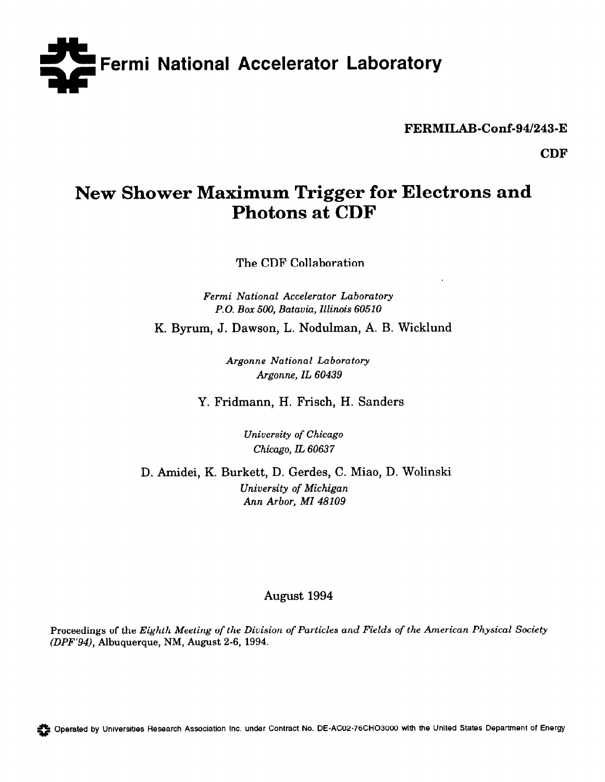

FERMILAB-Conf-94/243-E

CDF

# New Shower Maximum Trigger for Electrons and Photons at CDF

The CDF Collaboration

Fermi National Accelerator Laboratory P.O. Box 500, Batavia, Illinois 60510

K. Byrum, J. Dawson, L. Nodulman, A. B. Wicklund

Argonne National Laboratory Argonne, IL 60439

Y. Fridmann, H. Frisch, H. Sanders

University of Chicago Chicago, IL 60637

D. Amidei, K. Burkett, D. Gerdes, C. Miao, D. Wolinski University of Michigan Ann Arbor, MI 48109

## August 1994

Proceedings of the Eighth Meeting of the Division of Particles and Fields of the American Physical Society (DPF'94), Albuquerque, NM, August 2-6, 1994.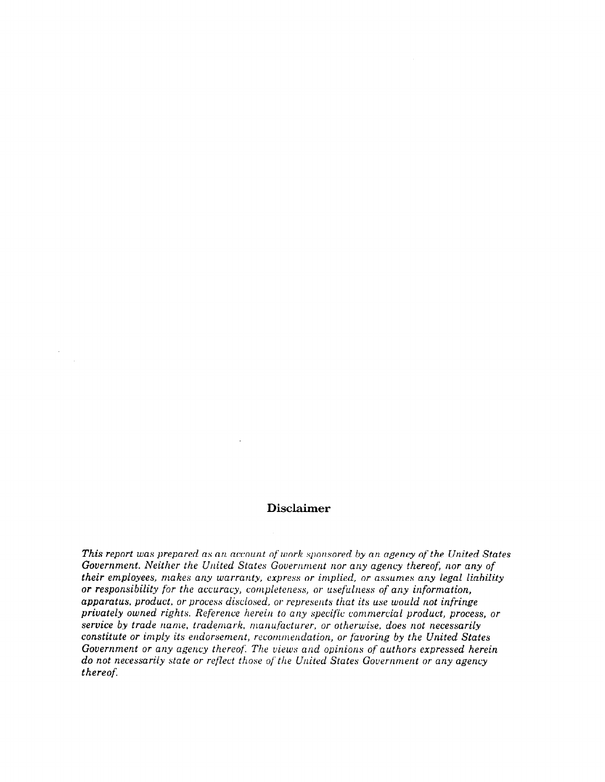## Disclaimer

This report was prepared as an account of work sponsored by an agency of the United States Government. Neither the United States Government nor any agency thereof; nor any of their employees, makes any warranty, express or implied, or assumes any legal liability or responsibility for the accuracy, completeness, or usefulness of any information, apparatus, product, or process disclosed, or represents that its use would not infringe privately owned rights. Reference herein to any specific commercial product, process, or service by trade name, trademark, manufacturer, or otherwise, does not necessarily constitute or imply its endorsement, recommendation, or favoring by the United States Government or any agency thereof: The views and opinions of authors expressed herein do not necessarily state or reflect those of the United States Government or any agency thereof.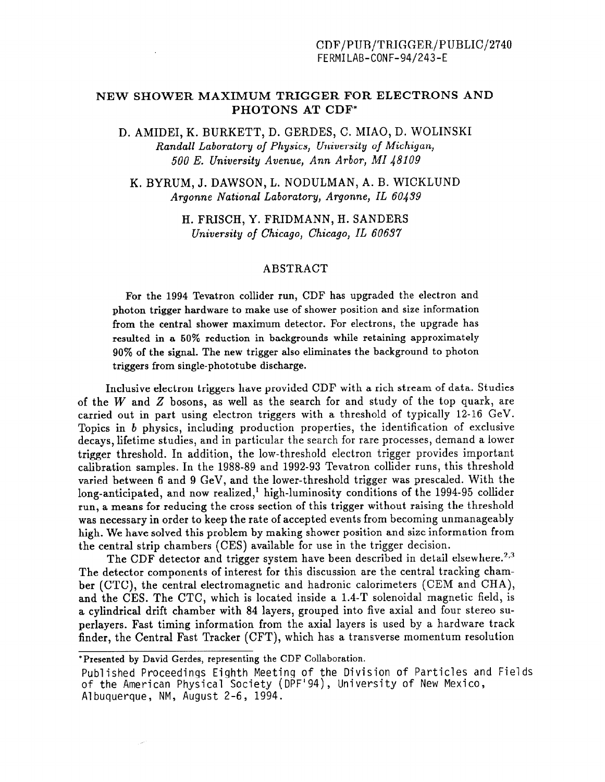## NEW SHOWER MAXIMUM TRIGGER FOR ELECTRONS AND PHOTONS AT CDF\*

D. AMIDEI, K. BURKETT, D. GERDES, C. MIAO, D. WOLINSKI Randall Laboratory of Physics, University of Michigan, 500 E. University Avenue, Ann Arbor, MI 48109

K. BYRUM, J. DAWSON, L. NODULMAN, A. B. WICKLUND Argonne National Laboratory, Argonne, IL 60439

> H. FRISCH, Y. FRIDMANN, H. SANDERS University of Chicago, Chicago, IL 60637

#### ABSTRACT

For the 1994 Tevatron collider run, CDF has upgraded the electron and photon trigger hardware to make use of shower position and size information from the central shower maximum detector. For electrons, the upgrade has resulted in a 50% reduction in backgrounds while retaining approximately 90% of the signal. The new trigger also eliminates the background to photon triggers from single-phototube discharge.

Inclusive electron triggers have provided CDF with a rich stream of data. Studies of the  $W$  and  $Z$  bosons, as well as the search for and study of the top quark, are carried out in part using electron triggers with a threshold of typically 12-16 GeV. Topics in b physics, including production properties, the identification of exclusive decays, lifetime studies, and in particular the search for rare processes, demand a lower trigger threshold. In addition, the low-threshold electron trigger provides important calibration samples. In the 1988-89 and 1992-93 Tevatron collider runs, this threshold varied between 6 and 9 GeV, and the lower-threshold trigger was prescaled. With the long-anticipated, and now realized,<sup>1</sup> high-luminosity conditions of the 1994-95 collider run, a means for reducing the cross section of this trigger without raising the threshold was necessary in order to keep the rate of accepted events from becoming unmanageably high. We have solved this problem by making shower position and size information from the central strip chambers (CES) available for use in the trigger decision.

The CDF detector and trigger system have been described in detail elsewhere.<sup>2,3</sup> The detector components of interest for this discussion are the central tracking chamber (CTC), the central electromagnetic and hadronic calorimeters (CEM and CHA), and the CES. The CTC, which is located inside a 1.4-T solenoidal magnetic field, is a cylindrical drift chamber with 84 layers, grouped into five axial and four stereo superlayers. Fast timing information from the axial layers is used by a hardware track finder, the Central Fast Tracker (CFT), which has a transverse momentum resolution

\*Presented by David Gerdes, representing the CDF Collaboration.

Published Proceedings Eighth Meeting of the Division of Particles and Fields of the American Physical Society (DPF'94), University of New Mexico, Albuquerque, NM, August 2-6, 1994.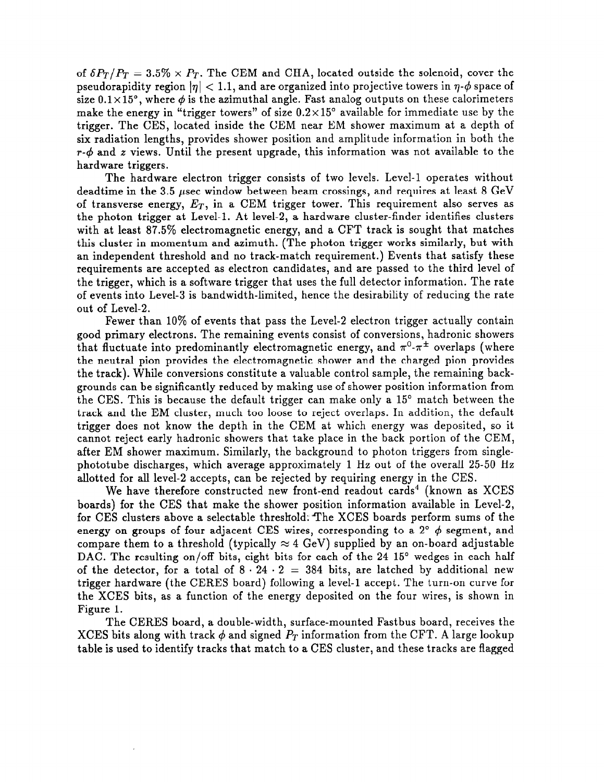of  $\delta P_T/P_T = 3.5\% \times P_T$ . The CEM and CHA, located outside the solenoid, cover the pseudorapidity region  $|\eta| < 1.1$ , and are organized into projective towers in  $\eta$ - $\phi$  space of size  $0.1 \times 15^{\circ}$ , where  $\phi$  is the azimuthal angle. Fast analog outputs on these calorimeters make the energy in "trigger towers" of size  $0.2 \times 15^{\circ}$  available for immediate use by the trigger. The CES, located inside the CEM near EM shower maximum at a depth of six radiation lengths, provides shower position and amplitude information in both the  $r-\phi$  and z views. Until the present upgrade, this information was not available to the hardware triggers.

The hardware electron trigger consists of two levels. Level-l operates without deadtime in the 3.5  $\mu$ sec window between beam crossings, and requires at least 8 GeV of transverse energy,  $E_T$ , in a CEM trigger tower. This requirement also serves as the photon trigger at Level-l. At level-2, a hardware cluster-finder identifies clusters with at least 87.5% electromagnetic energy, and a CFT track is sought that matches this cluster in momentum and azimuth. (The photon trigger works similarly, but with an independent threshold and no track-match requirement.) Events that satisfy these requirements are accepted as electron candidates, and are passed to the third level of the trigger, which is a software trigger that uses the full detector information. The rate of events into Level-3 is bandwidth-limited, hence the desirability of reducing the rate out of Level-2.

Fewer than 10% of events that pass the Level-2 electron trigger actually contain good primary electrons. The remaining events consist of conversions, hadronic showers that fluctuate into predominantly electromagnetic energy, and  $\pi^0$ - $\pi^{\pm}$  overlaps (where the neutral pion provides the electromagnetic shower and the charged pion provides the track). While conversions constitute a valuable control sample, the remaining backgrounds can be significantly reduced by making use of shower position information from the CES. This is because the default trigger can make only a 15" match between the track and the EM cluster, much too loose to reject overlaps. In addition, the default trigger does not know the depth in the CEM at which energy was deposited, so it cannot reject early hadronic showers that take place in the back portion of the CEM, after EM shower maximum. Similarly, the background to photon triggers from singlephototube discharges, which average approximately 1 Hz out of the overall 25-50 Hz allotted for all level-2 accepts, can be rejected by requiring energy in the CES.

We have therefore constructed new front-end readout cards<sup>4</sup> (known as XCES boards) for the CES that make the shower position information available in Level-2, for CES clusters above a selectable threshold; The XCES boards perform sums of the energy on groups of four adjacent CES wires, corresponding to a 2 $^{\circ}$   $\phi$  segment, and compare them to a threshold (typically  $\approx 4$  GeV) supplied by an on-board adjustable DAC. The resulting on/off bits, eight bits for each of the 24 15° wedges in each half of the detector, for a total of  $8 \cdot 24 \cdot 2 = 384$  bits, are latched by additional new trigger hardware (the CERES board) following a level-l accept. The turn-on curve for the XCES bits, as a function of the energy deposited on the four wires, is shown in Figure 1.

The CERES board, a double-width, surface-mounted Fastbus board, receives the XCES bits along with track  $\phi$  and signed  $P_T$  information from the CFT. A large lookup table is used to identify tracks that match to a CES cluster, and these tracks are flagged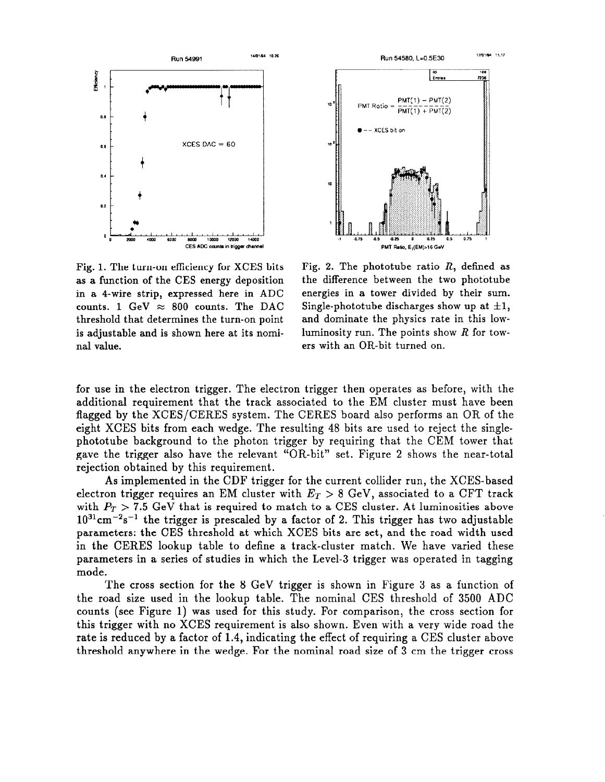



Fig. 1. The turn-on efficiency for XCES bits as a function of the CES energy deposition in a 4-wire strip, expressed here in ADC counts. 1 GeV  $\approx$  800 counts. The DAC threshold that determines the turn-on point is adjustable and is shown here at its nominal value.

Fig. 2. The phototube ratio  $R$ , defined as the difference between the two phototube energies in a tower divided by their sum. Single-phototube discharges show up at  $\pm 1$ , and dominate the physics rate in this lowluminosity run. The points show  $R$  for towers with an OR-bit turned on.

for use in the electron trigger. The electron trigger then operates as before, with the additional requirement that the track associated to the EM cluster must have been flagged by the XCES/CERES system. The CERES board also performs an OR of the eight XCES bits from each wedge. The resulting 48 bits are used to reject the singlephototube background to the photon trigger by requiring that the CEM tower that gave the trigger also have the relevant "OR-bit" set. Figure 2 shows the near-total rejection obtained by this requirement.

As implemented in the CDF trigger for the current collider run, the XCES-based electron trigger requires an EM cluster with  $E_T > 8$  GeV, associated to a CFT track with  $P_T > 7.5$  GeV that is required to match to a CES cluster. At luminosities above  $10^{31}$ cm<sup>-2</sup>s<sup>-1</sup> the trigger is prescaled by a factor of 2. This trigger has two adjustable parameters: the CES threshold at which XCES bits are set, and the road width used in the CERES lookup table to define a track-cluster match. We have varied these parameters in a series of studies in which the Level-3 trigger was operated in tagging mode.

The cross section for the 8 GeV trigger is shown in Figure 3 as a function of the road size used in the lookup table. The nominal CES threshold of 3500 ADC counts (see Figure 1) was used for this study. For comparison, the cross section for this trigger with no XCES requirement is also shown. Even with a very wide road the rate is reduced by a factor of 1.4, indicating the effect of requiring a CES cluster above threshold anywhere in the wedge. For the nominal road size of 3 cm the trigger cross